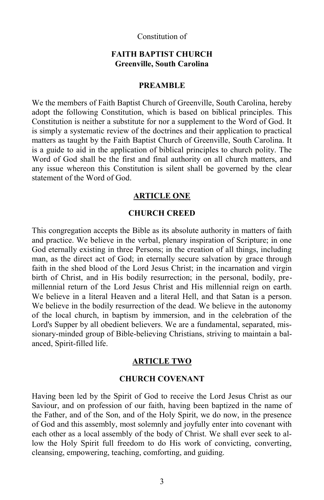### Constitution of

### **FAITH BAPTIST CHURCH Greenville, South Carolina**

#### **PREAMBLE**

We the members of Faith Baptist Church of Greenville, South Carolina, hereby adopt the following Constitution, which is based on biblical principles. This Constitution is neither a substitute for nor a supplement to the Word of God. It is simply a systematic review of the doctrines and their application to practical matters as taught by the Faith Baptist Church of Greenville, South Carolina. It is a guide to aid in the application of biblical principles to church polity. The Word of God shall be the first and final authority on all church matters, and any issue whereon this Constitution is silent shall be governed by the clear statement of the Word of God.

#### **ARTICLE ONE**

### **CHURCH CREED**

This congregation accepts the Bible as its absolute authority in matters of faith and practice. We believe in the verbal, plenary inspiration of Scripture; in one God eternally existing in three Persons; in the creation of all things, including man, as the direct act of God; in eternally secure salvation by grace through faith in the shed blood of the Lord Jesus Christ; in the incarnation and virgin birth of Christ, and in His bodily resurrection; in the personal, bodily, premillennial return of the Lord Jesus Christ and His millennial reign on earth. We believe in a literal Heaven and a literal Hell, and that Satan is a person. We believe in the bodily resurrection of the dead. We believe in the autonomy of the local church, in baptism by immersion, and in the celebration of the Lord's Supper by all obedient believers. We are a fundamental, separated, missionary-minded group of Bible-believing Christians, striving to maintain a balanced, Spirit-filled life.

#### **ARTICLE TWO**

### **CHURCH COVENANT**

Having been led by the Spirit of God to receive the Lord Jesus Christ as our Saviour, and on profession of our faith, having been baptized in the name of the Father, and of the Son, and of the Holy Spirit, we do now, in the presence of God and this assembly, most solemnly and joyfully enter into covenant with each other as a local assembly of the body of Christ. We shall ever seek to allow the Holy Spirit full freedom to do His work of convicting, converting, cleansing, empowering, teaching, comforting, and guiding.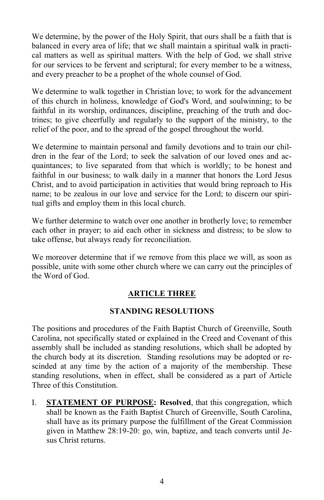We determine, by the power of the Holy Spirit, that ours shall be a faith that is balanced in every area of life; that we shall maintain a spiritual walk in practical matters as well as spiritual matters. With the help of God, we shall strive for our services to be fervent and scriptural; for every member to be a witness, and every preacher to be a prophet of the whole counsel of God.

We determine to walk together in Christian love; to work for the advancement of this church in holiness, knowledge of God's Word, and soulwinning; to be faithful in its worship, ordinances, discipline, preaching of the truth and doctrines; to give cheerfully and regularly to the support of the ministry, to the relief of the poor, and to the spread of the gospel throughout the world.

We determine to maintain personal and family devotions and to train our children in the fear of the Lord; to seek the salvation of our loved ones and acquaintances; to live separated from that which is worldly; to be honest and faithful in our business; to walk daily in a manner that honors the Lord Jesus Christ, and to avoid participation in activities that would bring reproach to His name; to be zealous in our love and service for the Lord; to discern our spiritual gifts and employ them in this local church.

We further determine to watch over one another in brotherly love; to remember each other in prayer; to aid each other in sickness and distress; to be slow to take offense, but always ready for reconciliation.

We moreover determine that if we remove from this place we will, as soon as possible, unite with some other church where we can carry out the principles of the Word of God.

# **ARTICLE THREE**

## **STANDING RESOLUTIONS**

The positions and procedures of the Faith Baptist Church of Greenville, South Carolina, not specifically stated or explained in the Creed and Covenant of this assembly shall be included as standing resolutions, which shall be adopted by the church body at its discretion. Standing resolutions may be adopted or rescinded at any time by the action of a majority of the membership. These standing resolutions, when in effect, shall be considered as a part of Article Three of this Constitution.

I. **STATEMENT OF PURPOSE: Resolved**, that this congregation, which shall be known as the Faith Baptist Church of Greenville, South Carolina, shall have as its primary purpose the fulfillment of the Great Commission given in Matthew 28:19-20: go, win, baptize, and teach converts until Jesus Christ returns.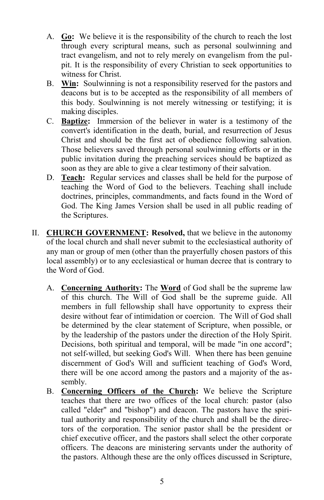- A. **Go:** We believe it is the responsibility of the church to reach the lost through every scriptural means, such as personal soulwinning and tract evangelism, and not to rely merely on evangelism from the pulpit. It is the responsibility of every Christian to seek opportunities to witness for Christ.
- B. **Win:** Soulwinning is not a responsibility reserved for the pastors and deacons but is to be accepted as the responsibility of all members of this body. Soulwinning is not merely witnessing or testifying; it is making disciples.
- C. **Baptize:** Immersion of the believer in water is a testimony of the convert's identification in the death, burial, and resurrection of Jesus Christ and should be the first act of obedience following salvation. Those believers saved through personal soulwinning efforts or in the public invitation during the preaching services should be baptized as soon as they are able to give a clear testimony of their salvation.
- D. **Teach:** Regular services and classes shall be held for the purpose of teaching the Word of God to the believers. Teaching shall include doctrines, principles, commandments, and facts found in the Word of God. The King James Version shall be used in all public reading of the Scriptures.
- II. **CHURCH GOVERNMENT: Resolved,** that we believe in the autonomy of the local church and shall never submit to the ecclesiastical authority of any man or group of men (other than the prayerfully chosen pastors of this local assembly) or to any ecclesiastical or human decree that is contrary to the Word of God.
	- A. **Concerning Authority:** The **Word** of God shall be the supreme law of this church. The Will of God shall be the supreme guide. All members in full fellowship shall have opportunity to express their desire without fear of intimidation or coercion. The Will of God shall be determined by the clear statement of Scripture, when possible, or by the leadership of the pastors under the direction of the Holy Spirit. Decisions, both spiritual and temporal, will be made "in one accord"; not self-willed, but seeking God's Will. When there has been genuine discernment of God's Will and sufficient teaching of God's Word, there will be one accord among the pastors and a majority of the assembly.
	- B. **Concerning Officers of the Church:** We believe the Scripture teaches that there are two offices of the local church: pastor (also called "elder" and "bishop") and deacon. The pastors have the spiritual authority and responsibility of the church and shall be the directors of the corporation. The senior pastor shall be the president or chief executive officer, and the pastors shall select the other corporate officers. The deacons are ministering servants under the authority of the pastors. Although these are the only offices discussed in Scripture,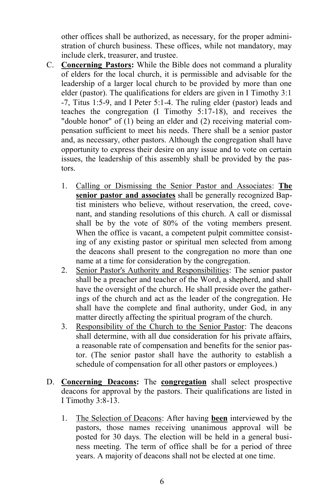other offices shall be authorized, as necessary, for the proper administration of church business. These offices, while not mandatory, may include clerk, treasurer, and trustee.

- C. **Concerning Pastors:** While the Bible does not command a plurality of elders for the local church, it is permissible and advisable for the leadership of a larger local church to be provided by more than one elder (pastor). The qualifications for elders are given in I Timothy 3:1 -7, Titus 1:5-9, and I Peter 5:1-4. The ruling elder (pastor) leads and teaches the congregation (I Timothy 5:17-18), and receives the "double honor" of (1) being an elder and (2) receiving material compensation sufficient to meet his needs. There shall be a senior pastor and, as necessary, other pastors. Although the congregation shall have opportunity to express their desire on any issue and to vote on certain issues, the leadership of this assembly shall be provided by the pastors.
	- 1. Calling or Dismissing the Senior Pastor and Associates: **The senior pastor and associates** shall be generally recognized Baptist ministers who believe, without reservation, the creed, covenant, and standing resolutions of this church. A call or dismissal shall be by the vote of 80% of the voting members present. When the office is vacant, a competent pulpit committee consisting of any existing pastor or spiritual men selected from among the deacons shall present to the congregation no more than one name at a time for consideration by the congregation.
	- 2. Senior Pastor's Authority and Responsibilities: The senior pastor shall be a preacher and teacher of the Word, a shepherd, and shall have the oversight of the church. He shall preside over the gatherings of the church and act as the leader of the congregation. He shall have the complete and final authority, under God, in any matter directly affecting the spiritual program of the church.
	- 3. Responsibility of the Church to the Senior Pastor: The deacons shall determine, with all due consideration for his private affairs, a reasonable rate of compensation and benefits for the senior pastor. (The senior pastor shall have the authority to establish a schedule of compensation for all other pastors or employees.)
- D. **Concerning Deacons:** The **congregation** shall select prospective deacons for approval by the pastors. Their qualifications are listed in I Timothy 3:8-13.
	- 1. The Selection of Deacons: After having **been** interviewed by the pastors, those names receiving unanimous approval will be posted for 30 days. The election will be held in a general business meeting. The term of office shall be for a period of three years. A majority of deacons shall not be elected at one time.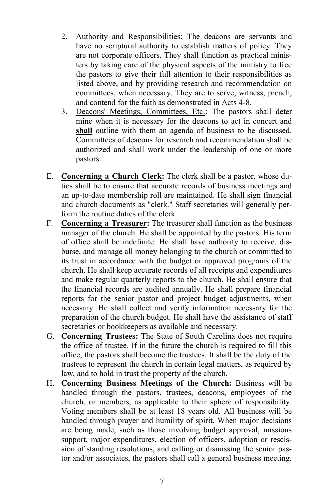- 2. Authority and Responsibilities: The deacons are servants and have no scriptural authority to establish matters of policy. They are not corporate officers. They shall function as practical ministers by taking care of the physical aspects of the ministry to free the pastors to give their full attention to their responsibilities as listed above, and by providing research and recommendation on committees, when necessary. They are to serve, witness, preach, and contend for the faith as demonstrated in Acts 4-8.
- 3. Deacons' Meetings, Committees, Etc.: The pastors shall deter mine when it is necessary for the deacons to act in concert and **shall** outline with them an agenda of business to be discussed. Committees of deacons for research and recommendation shall be authorized and shall work under the leadership of one or more pastors.
- E. **Concerning a Church Clerk:** The clerk shall be a pastor, whose duties shall be to ensure that accurate records of business meetings and an up-to-date membership roll are maintained. He shall sign financial and church documents as "clerk." Staff secretaries will generally perform the routine duties of the clerk.
- F. **Concerning a Treasurer:** The treasurer shall function as the business manager of the church. He shall be appointed by the pastors. His term of office shall be indefinite. He shall have authority to receive, disburse, and manage all money belonging to the church or committed to its trust in accordance with the budget or approved programs of the church. He shall keep accurate records of all receipts and expenditures and make regular quarterly reports to the church. He shall ensure that the financial records are audited annually. He shall prepare financial reports for the senior pastor and project budget adjustments, when necessary. He shall collect and verify information necessary for the preparation of the church budget. He shall have the assistance of staff secretaries or bookkeepers as available and necessary.
- G. **Concerning Trustees:** The State of South Carolina does not require the office of trustee. If in the future the church is required to fill this office, the pastors shall become the trustees. It shall be the duty of the trustees to represent the church in certain legal matters, as required by law, and to hold in trust the property of the church.
- H. **Concerning Business Meetings of the Church:** Business will be handled through the pastors, trustees, deacons, employees of the church, or members, as applicable to their sphere of responsibility. Voting members shall be at least 18 years old. All business will be handled through prayer and humility of spirit. When major decisions are being made, such as those involving budget approval, missions support, major expenditures, election of officers, adoption or rescission of standing resolutions, and calling or dismissing the senior pastor and/or associates, the pastors shall call a general business meeting.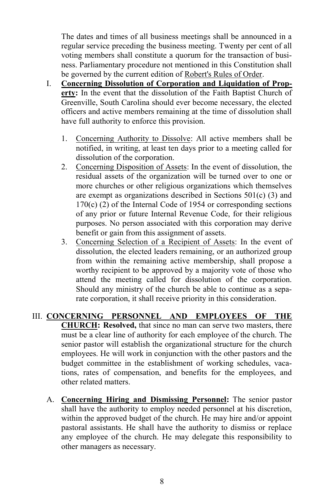The dates and times of all business meetings shall be announced in a regular service preceding the business meeting. Twenty per cent of all voting members shall constitute a quorum for the transaction of business. Parliamentary procedure not mentioned in this Constitution shall be governed by the current edition of Robert's Rules of Order.

- I. **Concerning Dissolution of Corporation and Liquidation of Property:** In the event that the dissolution of the Faith Baptist Church of Greenville, South Carolina should ever become necessary, the elected officers and active members remaining at the time of dissolution shall have full authority to enforce this provision.
	- 1. Concerning Authority to Dissolve: All active members shall be notified, in writing, at least ten days prior to a meeting called for dissolution of the corporation.
	- 2. Concerning Disposition of Assets: In the event of dissolution, the residual assets of the organization will be turned over to one or more churches or other religious organizations which themselves are exempt as organizations described in Sections  $501(c)$  (3) and  $170(c)$  (2) of the Internal Code of 1954 or corresponding sections of any prior or future Internal Revenue Code, for their religious purposes. No person associated with this corporation may derive benefit or gain from this assignment of assets.
	- 3. Concerning Selection of a Recipient of Assets: In the event of dissolution, the elected leaders remaining, or an authorized group from within the remaining active membership, shall propose a worthy recipient to be approved by a majority vote of those who attend the meeting called for dissolution of the corporation. Should any ministry of the church be able to continue as a separate corporation, it shall receive priority in this consideration.
- III. **CONCERNING PERSONNEL AND EMPLOYEES OF THE CHURCH: Resolved,** that since no man can serve two masters, there must be a clear line of authority for each employee of the church. The senior pastor will establish the organizational structure for the church employees. He will work in conjunction with the other pastors and the budget committee in the establishment of working schedules, vacations, rates of compensation, and benefits for the employees, and other related matters.
	- A. **Concerning Hiring and Dismissing Personnel:** The senior pastor shall have the authority to employ needed personnel at his discretion, within the approved budget of the church. He may hire and/or appoint pastoral assistants. He shall have the authority to dismiss or replace any employee of the church. He may delegate this responsibility to other managers as necessary.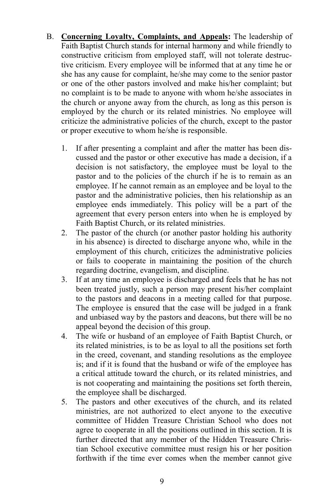- B. **Concerning Loyalty, Complaints, and Appeals:** The leadership of Faith Baptist Church stands for internal harmony and while friendly to constructive criticism from employed staff, will not tolerate destructive criticism. Every employee will be informed that at any time he or she has any cause for complaint, he/she may come to the senior pastor or one of the other pastors involved and make his/her complaint; but no complaint is to be made to anyone with whom he/she associates in the church or anyone away from the church, as long as this person is employed by the church or its related ministries. No employee will criticize the administrative policies of the church, except to the pastor or proper executive to whom he/she is responsible.
	- 1. If after presenting a complaint and after the matter has been discussed and the pastor or other executive has made a decision, if a decision is not satisfactory, the employee must be loyal to the pastor and to the policies of the church if he is to remain as an employee. If he cannot remain as an employee and be loyal to the pastor and the administrative policies, then his relationship as an employee ends immediately. This policy will be a part of the agreement that every person enters into when he is employed by Faith Baptist Church, or its related ministries.
	- 2. The pastor of the church (or another pastor holding his authority in his absence) is directed to discharge anyone who, while in the employment of this church, criticizes the administrative policies or fails to cooperate in maintaining the position of the church regarding doctrine, evangelism, and discipline.
	- 3. If at any time an employee is discharged and feels that he has not been treated justly, such a person may present his/her complaint to the pastors and deacons in a meeting called for that purpose. The employee is ensured that the case will be judged in a frank and unbiased way by the pastors and deacons, but there will be no appeal beyond the decision of this group.
	- 4. The wife or husband of an employee of Faith Baptist Church, or its related ministries, is to be as loyal to all the positions set forth in the creed, covenant, and standing resolutions as the employee is; and if it is found that the husband or wife of the employee has a critical attitude toward the church, or its related ministries, and is not cooperating and maintaining the positions set forth therein, the employee shall be discharged.
	- 5. The pastors and other executives of the church, and its related ministries, are not authorized to elect anyone to the executive committee of Hidden Treasure Christian School who does not agree to cooperate in all the positions outlined in this section. It is further directed that any member of the Hidden Treasure Christian School executive committee must resign his or her position forthwith if the time ever comes when the member cannot give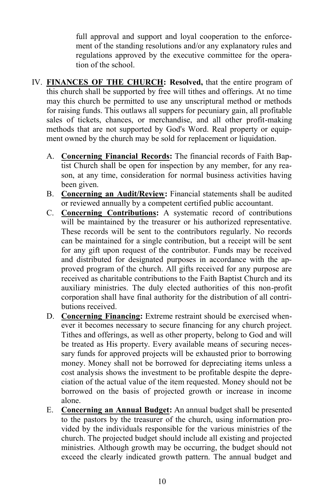full approval and support and loyal cooperation to the enforcement of the standing resolutions and/or any explanatory rules and regulations approved by the executive committee for the operation of the school.

- IV. **FINANCES OF THE CHURCH: Resolved,** that the entire program of this church shall be supported by free will tithes and offerings. At no time may this church be permitted to use any unscriptural method or methods for raising funds. This outlaws all suppers for pecuniary gain, all profitable sales of tickets, chances, or merchandise, and all other profit-making methods that are not supported by God's Word. Real property or equipment owned by the church may be sold for replacement or liquidation.
	- A. **Concerning Financial Records:** The financial records of Faith Baptist Church shall be open for inspection by any member, for any reason, at any time, consideration for normal business activities having been given.
	- B. **Concerning an Audit/Review:** Financial statements shall be audited or reviewed annually by a competent certified public accountant.
	- C. **Concerning Contributions:** A systematic record of contributions will be maintained by the treasurer or his authorized representative. These records will be sent to the contributors regularly. No records can be maintained for a single contribution, but a receipt will be sent for any gift upon request of the contributor. Funds may be received and distributed for designated purposes in accordance with the approved program of the church. All gifts received for any purpose are received as charitable contributions to the Faith Baptist Church and its auxiliary ministries. The duly elected authorities of this non-profit corporation shall have final authority for the distribution of all contributions received.
	- D. **Concerning Financing:** Extreme restraint should be exercised whenever it becomes necessary to secure financing for any church project. Tithes and offerings, as well as other property, belong to God and will be treated as His property. Every available means of securing necessary funds for approved projects will be exhausted prior to borrowing money. Money shall not be borrowed for depreciating items unless a cost analysis shows the investment to be profitable despite the depreciation of the actual value of the item requested. Money should not be borrowed on the basis of projected growth or increase in income alone.
	- E. **Concerning an Annual Budget:** An annual budget shall be presented to the pastors by the treasurer of the church, using information provided by the individuals responsible for the various ministries of the church. The projected budget should include all existing and projected ministries. Although growth may be occurring, the budget should not exceed the clearly indicated growth pattern. The annual budget and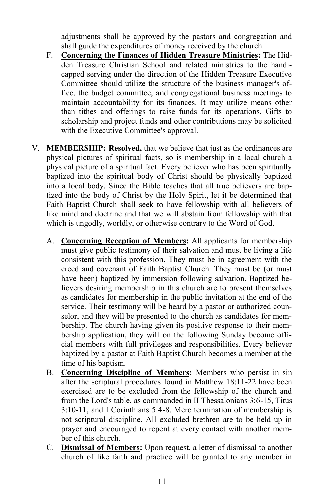adjustments shall be approved by the pastors and congregation and shall guide the expenditures of money received by the church.

- F. **Concerning the Finances of Hidden Treasure Ministries:** The Hidden Treasure Christian School and related ministries to the handicapped serving under the direction of the Hidden Treasure Executive Committee should utilize the structure of the business manager's office, the budget committee, and congregational business meetings to maintain accountability for its finances. It may utilize means other than tithes and offerings to raise funds for its operations. Gifts to scholarship and project funds and other contributions may be solicited with the Executive Committee's approval.
- V. **MEMBERSHIP: Resolved,** that we believe that just as the ordinances are physical pictures of spiritual facts, so is membership in a local church a physical picture of a spiritual fact. Every believer who has been spiritually baptized into the spiritual body of Christ should be physically baptized into a local body. Since the Bible teaches that all true believers are baptized into the body of Christ by the Holy Spirit, let it be determined that Faith Baptist Church shall seek to have fellowship with all believers of like mind and doctrine and that we will abstain from fellowship with that which is ungodly, worldly, or otherwise contrary to the Word of God.
	- A. **Concerning Reception of Members:** All applicants for membership must give public testimony of their salvation and must be living a life consistent with this profession. They must be in agreement with the creed and covenant of Faith Baptist Church. They must be (or must have been) baptized by immersion following salvation. Baptized believers desiring membership in this church are to present themselves as candidates for membership in the public invitation at the end of the service. Their testimony will be heard by a pastor or authorized counselor, and they will be presented to the church as candidates for membership. The church having given its positive response to their membership application, they will on the following Sunday become official members with full privileges and responsibilities. Every believer baptized by a pastor at Faith Baptist Church becomes a member at the time of his baptism.
	- B. **Concerning Discipline of Members:** Members who persist in sin after the scriptural procedures found in Matthew 18:11-22 have been exercised are to be excluded from the fellowship of the church and from the Lord's table, as commanded in II Thessalonians 3:6-15, Titus 3:10-11, and I Corinthians 5:4-8. Mere termination of membership is not scriptural discipline. All excluded brethren are to be held up in prayer and encouraged to repent at every contact with another member of this church.
	- C. **Dismissal of Members:** Upon request, a letter of dismissal to another church of like faith and practice will be granted to any member in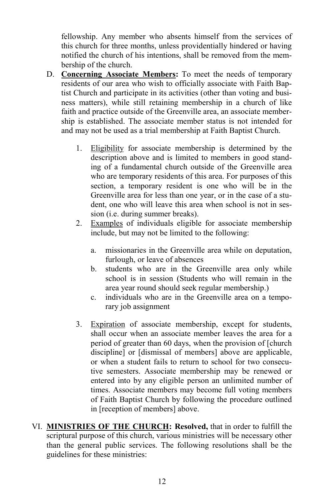fellowship. Any member who absents himself from the services of this church for three months, unless providentially hindered or having notified the church of his intentions, shall be removed from the membership of the church.

- D. **Concerning Associate Members:** To meet the needs of temporary residents of our area who wish to officially associate with Faith Baptist Church and participate in its activities (other than voting and business matters), while still retaining membership in a church of like faith and practice outside of the Greenville area, an associate membership is established. The associate member status is not intended for and may not be used as a trial membership at Faith Baptist Church.
	- 1. Eligibility for associate membership is determined by the description above and is limited to members in good standing of a fundamental church outside of the Greenville area who are temporary residents of this area. For purposes of this section, a temporary resident is one who will be in the Greenville area for less than one year, or in the case of a student, one who will leave this area when school is not in session (i.e. during summer breaks).
	- 2. Examples of individuals eligible for associate membership include, but may not be limited to the following:
		- a. missionaries in the Greenville area while on deputation, furlough, or leave of absences
		- b. students who are in the Greenville area only while school is in session (Students who will remain in the area year round should seek regular membership.)
		- c. individuals who are in the Greenville area on a temporary job assignment
	- 3. Expiration of associate membership, except for students, shall occur when an associate member leaves the area for a period of greater than 60 days, when the provision of [church discipline] or [dismissal of members] above are applicable, or when a student fails to return to school for two consecutive semesters. Associate membership may be renewed or entered into by any eligible person an unlimited number of times. Associate members may become full voting members of Faith Baptist Church by following the procedure outlined in [reception of members] above.
- VI. **MINISTRIES OF THE CHURCH: Resolved,** that in order to fulfill the scriptural purpose of this church, various ministries will be necessary other than the general public services. The following resolutions shall be the guidelines for these ministries: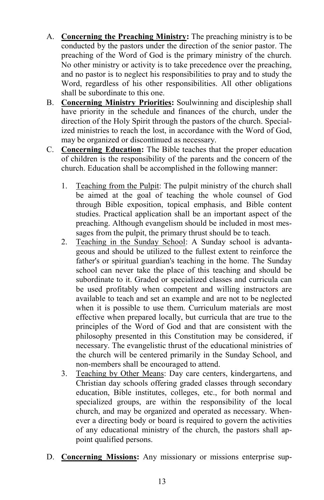- A. **Concerning the Preaching Ministry:** The preaching ministry is to be conducted by the pastors under the direction of the senior pastor. The preaching of the Word of God is the primary ministry of the church. No other ministry or activity is to take precedence over the preaching, and no pastor is to neglect his responsibilities to pray and to study the Word, regardless of his other responsibilities. All other obligations shall be subordinate to this one.
- B. **Concerning Ministry Priorities:** Soulwinning and discipleship shall have priority in the schedule and finances of the church, under the direction of the Holy Spirit through the pastors of the church. Specialized ministries to reach the lost, in accordance with the Word of God, may be organized or discontinued as necessary.
- C. **Concerning Education:** The Bible teaches that the proper education of children is the responsibility of the parents and the concern of the church. Education shall be accomplished in the following manner:
	- 1. Teaching from the Pulpit: The pulpit ministry of the church shall be aimed at the goal of teaching the whole counsel of God through Bible exposition, topical emphasis, and Bible content studies. Practical application shall be an important aspect of the preaching. Although evangelism should be included in most messages from the pulpit, the primary thrust should be to teach.
	- 2. Teaching in the Sunday School: A Sunday school is advantageous and should be utilized to the fullest extent to reinforce the father's or spiritual guardian's teaching in the home. The Sunday school can never take the place of this teaching and should be subordinate to it. Graded or specialized classes and curricula can be used profitably when competent and willing instructors are available to teach and set an example and are not to be neglected when it is possible to use them. Curriculum materials are most effective when prepared locally, but curricula that are true to the principles of the Word of God and that are consistent with the philosophy presented in this Constitution may be considered, if necessary. The evangelistic thrust of the educational ministries of the church will be centered primarily in the Sunday School, and non-members shall be encouraged to attend.
	- 3. Teaching by Other Means: Day care centers, kindergartens, and Christian day schools offering graded classes through secondary education, Bible institutes, colleges, etc., for both normal and specialized groups, are within the responsibility of the local church, and may be organized and operated as necessary. Whenever a directing body or board is required to govern the activities of any educational ministry of the church, the pastors shall appoint qualified persons.
- D. **Concerning Missions:** Any missionary or missions enterprise sup-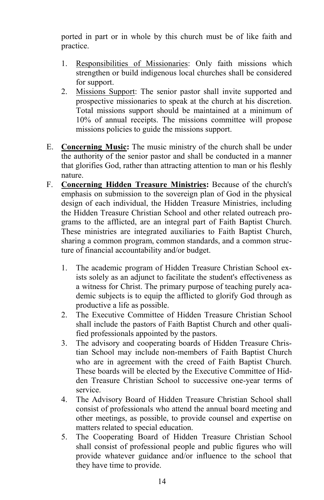ported in part or in whole by this church must be of like faith and practice.

- 1. Responsibilities of Missionaries: Only faith missions which strengthen or build indigenous local churches shall be considered for support.
- 2. Missions Support: The senior pastor shall invite supported and prospective missionaries to speak at the church at his discretion. Total missions support should be maintained at a minimum of 10% of annual receipts. The missions committee will propose missions policies to guide the missions support.
- E. **Concerning Music:** The music ministry of the church shall be under the authority of the senior pastor and shall be conducted in a manner that glorifies God, rather than attracting attention to man or his fleshly nature.
- F. **Concerning Hidden Treasure Ministries:** Because of the church's emphasis on submission to the sovereign plan of God in the physical design of each individual, the Hidden Treasure Ministries, including the Hidden Treasure Christian School and other related outreach programs to the afflicted, are an integral part of Faith Baptist Church. These ministries are integrated auxiliaries to Faith Baptist Church, sharing a common program, common standards, and a common structure of financial accountability and/or budget.
	- 1. The academic program of Hidden Treasure Christian School exists solely as an adjunct to facilitate the student's effectiveness as a witness for Christ. The primary purpose of teaching purely academic subjects is to equip the afflicted to glorify God through as productive a life as possible.
	- 2. The Executive Committee of Hidden Treasure Christian School shall include the pastors of Faith Baptist Church and other qualified professionals appointed by the pastors.
	- 3. The advisory and cooperating boards of Hidden Treasure Christian School may include non-members of Faith Baptist Church who are in agreement with the creed of Faith Baptist Church. These boards will be elected by the Executive Committee of Hidden Treasure Christian School to successive one-year terms of service.
	- 4. The Advisory Board of Hidden Treasure Christian School shall consist of professionals who attend the annual board meeting and other meetings, as possible, to provide counsel and expertise on matters related to special education.
	- 5. The Cooperating Board of Hidden Treasure Christian School shall consist of professional people and public figures who will provide whatever guidance and/or influence to the school that they have time to provide.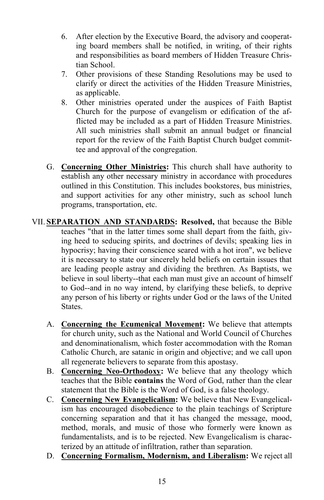- 6. After election by the Executive Board, the advisory and cooperating board members shall be notified, in writing, of their rights and responsibilities as board members of Hidden Treasure Christian School.
- 7. Other provisions of these Standing Resolutions may be used to clarify or direct the activities of the Hidden Treasure Ministries, as applicable.
- 8. Other ministries operated under the auspices of Faith Baptist Church for the purpose of evangelism or edification of the afflicted may be included as a part of Hidden Treasure Ministries. All such ministries shall submit an annual budget or financial report for the review of the Faith Baptist Church budget committee and approval of the congregation.
- G. **Concerning Other Ministries:** This church shall have authority to establish any other necessary ministry in accordance with procedures outlined in this Constitution. This includes bookstores, bus ministries, and support activities for any other ministry, such as school lunch programs, transportation, etc.
- VII. **SEPARATION AND STANDARDS: Resolved,** that because the Bible teaches "that in the latter times some shall depart from the faith, giving heed to seducing spirits, and doctrines of devils; speaking lies in hypocrisy; having their conscience seared with a hot iron", we believe it is necessary to state our sincerely held beliefs on certain issues that are leading people astray and dividing the brethren. As Baptists, we believe in soul liberty--that each man must give an account of himself to God--and in no way intend, by clarifying these beliefs, to deprive any person of his liberty or rights under God or the laws of the United States.
	- A. **Concerning the Ecumenical Movement:** We believe that attempts for church unity, such as the National and World Council of Churches and denominationalism, which foster accommodation with the Roman Catholic Church, are satanic in origin and objective; and we call upon all regenerate believers to separate from this apostasy.
	- B. **Concerning Neo-Orthodoxy:** We believe that any theology which teaches that the Bible **contains** the Word of God, rather than the clear statement that the Bible is the Word of God, is a false theology.
	- C. **Concerning New Evangelicalism:** We believe that New Evangelicalism has encouraged disobedience to the plain teachings of Scripture concerning separation and that it has changed the message, mood, method, morals, and music of those who formerly were known as fundamentalists, and is to be rejected. New Evangelicalism is characterized by an attitude of infiltration, rather than separation.
	- D. **Concerning Formalism, Modernism, and Liberalism:** We reject all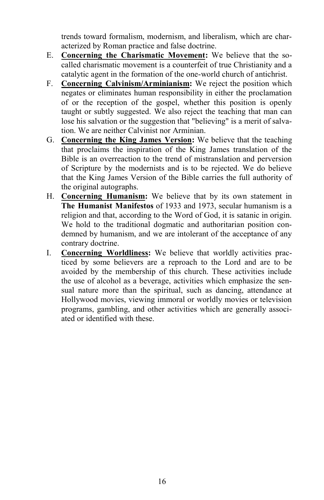trends toward formalism, modernism, and liberalism, which are characterized by Roman practice and false doctrine.

- E. **Concerning the Charismatic Movement:** We believe that the socalled charismatic movement is a counterfeit of true Christianity and a catalytic agent in the formation of the one-world church of antichrist.
- F. **Concerning Calvinism/Arminianism:** We reject the position which negates or eliminates human responsibility in either the proclamation of or the reception of the gospel, whether this position is openly taught or subtly suggested. We also reject the teaching that man can lose his salvation or the suggestion that "believing" is a merit of salvation. We are neither Calvinist nor Arminian.
- G. **Concerning the King James Version:** We believe that the teaching that proclaims the inspiration of the King James translation of the Bible is an overreaction to the trend of mistranslation and perversion of Scripture by the modernists and is to be rejected. We do believe that the King James Version of the Bible carries the full authority of the original autographs.
- H. **Concerning Humanism:** We believe that by its own statement in **The Humanist Manifestos** of 1933 and 1973, secular humanism is a religion and that, according to the Word of God, it is satanic in origin. We hold to the traditional dogmatic and authoritarian position condemned by humanism, and we are intolerant of the acceptance of any contrary doctrine.
- I. **Concerning Worldliness:** We believe that worldly activities practiced by some believers are a reproach to the Lord and are to be avoided by the membership of this church. These activities include the use of alcohol as a beverage, activities which emphasize the sensual nature more than the spiritual, such as dancing, attendance at Hollywood movies, viewing immoral or worldly movies or television programs, gambling, and other activities which are generally associated or identified with these.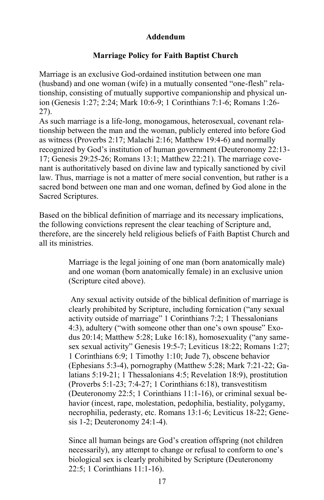## **Addendum**

## **Marriage Policy for Faith Baptist Church**

Marriage is an exclusive God-ordained institution between one man (husband) and one woman (wife) in a mutually consented "one-flesh" relationship, consisting of mutually supportive companionship and physical union (Genesis 1:27; 2:24; Mark 10:6-9; 1 Corinthians 7:1-6; Romans 1:26- 27).

As such marriage is a life-long, monogamous, heterosexual, covenant relationship between the man and the woman, publicly entered into before God as witness (Proverbs 2:17; Malachi 2:16; Matthew 19:4-6) and normally recognized by God's institution of human government (Deuteronomy 22:13- 17; Genesis 29:25-26; Romans 13:1; Matthew 22:21). The marriage covenant is authoritatively based on divine law and typically sanctioned by civil law. Thus, marriage is not a matter of mere social convention, but rather is a sacred bond between one man and one woman, defined by God alone in the Sacred Scriptures.

Based on the biblical definition of marriage and its necessary implications, the following convictions represent the clear teaching of Scripture and, therefore, are the sincerely held religious beliefs of Faith Baptist Church and all its ministries.

> Marriage is the legal joining of one man (born anatomically male) and one woman (born anatomically female) in an exclusive union (Scripture cited above).

Any sexual activity outside of the biblical definition of marriage is clearly prohibited by Scripture, including fornication ("any sexual activity outside of marriage" 1 Corinthians 7:2; 1 Thessalonians 4:3), adultery ("with someone other than one's own spouse" Exodus 20:14; Matthew 5:28; Luke 16:18), homosexuality ("any samesex sexual activity" Genesis 19:5-7; Leviticus 18:22; Romans 1:27; 1 Corinthians 6:9; 1 Timothy 1:10; Jude 7), obscene behavior (Ephesians 5:3-4), pornography (Matthew 5:28; Mark 7:21-22; Galatians 5:19-21; 1 Thessalonians 4:5; Revelation 18:9), prostitution (Proverbs 5:1-23; 7:4-27; 1 Corinthians 6:18), transvestitism (Deuteronomy 22:5; 1 Corinthians 11:1-16), or criminal sexual behavior (incest, rape, molestation, pedophilia, bestiality, polygamy, necrophilia, pederasty, etc. Romans 13:1-6; Leviticus 18-22; Genesis 1-2; Deuteronomy 24:1-4).

Since all human beings are God's creation offspring (not children necessarily), any attempt to change or refusal to conform to one's biological sex is clearly prohibited by Scripture (Deuteronomy 22:5; 1 Corinthians 11:1-16).